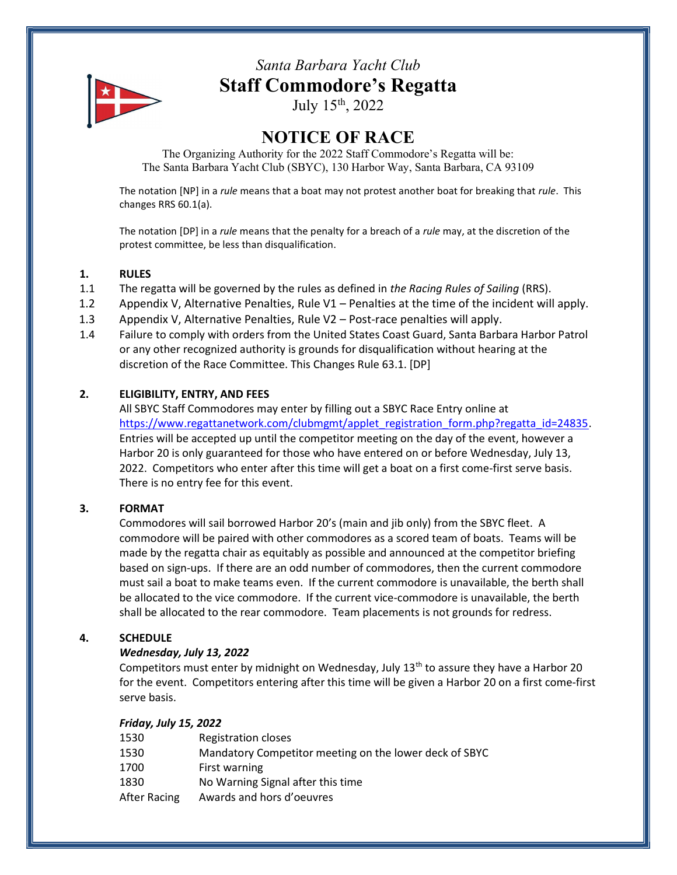

# Santa Barbara Yacht Club Staff Commodore's Regatta

July 15th, 2022

# NOTICE OF RACE

The Organizing Authority for the 2022 Staff Commodore's Regatta will be: The Santa Barbara Yacht Club (SBYC), 130 Harbor Way, Santa Barbara, CA 93109

The notation [NP] in a rule means that a boat may not protest another boat for breaking that rule. This changes RRS 60.1(a).

The notation [DP] in a rule means that the penalty for a breach of a rule may, at the discretion of the protest committee, be less than disqualification.

#### 1. RULES

- 1.1 The regatta will be governed by the rules as defined in the Racing Rules of Sailing (RRS).
- 1.2 Appendix V, Alternative Penalties, Rule V1 Penalties at the time of the incident will apply.
- 1.3 Appendix V, Alternative Penalties, Rule V2 Post-race penalties will apply.
- 1.4 Failure to comply with orders from the United States Coast Guard, Santa Barbara Harbor Patrol or any other recognized authority is grounds for disqualification without hearing at the discretion of the Race Committee. This Changes Rule 63.1. [DP]

# 2. ELIGIBILITY, ENTRY, AND FEES

All SBYC Staff Commodores may enter by filling out a SBYC Race Entry online at https://www.regattanetwork.com/clubmgmt/applet\_registration\_form.php?regatta\_id=24835. Entries will be accepted up until the competitor meeting on the day of the event, however a Harbor 20 is only guaranteed for those who have entered on or before Wednesday, July 13, 2022. Competitors who enter after this time will get a boat on a first come-first serve basis. There is no entry fee for this event.

#### 3. FORMAT

Commodores will sail borrowed Harbor 20's (main and jib only) from the SBYC fleet. A commodore will be paired with other commodores as a scored team of boats. Teams will be made by the regatta chair as equitably as possible and announced at the competitor briefing based on sign-ups. If there are an odd number of commodores, then the current commodore must sail a boat to make teams even. If the current commodore is unavailable, the berth shall be allocated to the vice commodore. If the current vice-commodore is unavailable, the berth shall be allocated to the rear commodore. Team placements is not grounds for redress.

# 4. SCHEDULE

#### Wednesday, July 13, 2022

Competitors must enter by midnight on Wednesday, July  $13<sup>th</sup>$  to assure they have a Harbor 20 for the event. Competitors entering after this time will be given a Harbor 20 on a first come-first serve basis.

#### Friday, July 15, 2022

| 1530         | Registration closes                                    |
|--------------|--------------------------------------------------------|
| 1530         | Mandatory Competitor meeting on the lower deck of SBYC |
| 1700         | First warning                                          |
| 1830         | No Warning Signal after this time                      |
| After Racing | Awards and hors d'oeuvres                              |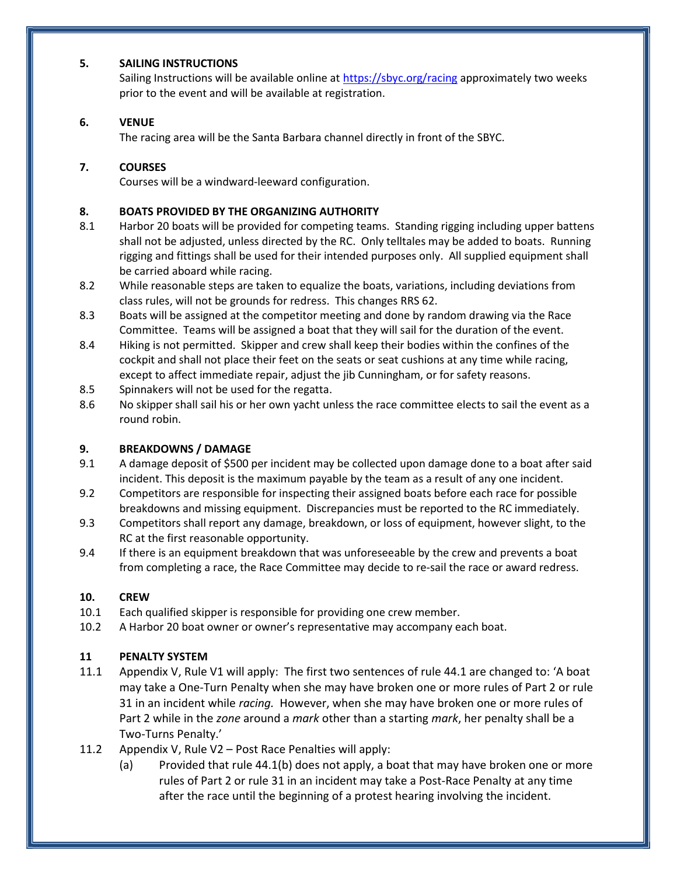#### 5. SAILING INSTRUCTIONS

Sailing Instructions will be available online at https://sbyc.org/racing approximately two weeks prior to the event and will be available at registration.

# 6. VENUE

The racing area will be the Santa Barbara channel directly in front of the SBYC.

#### 7. COURSES

Courses will be a windward-leeward configuration.

#### 8. BOATS PROVIDED BY THE ORGANIZING AUTHORITY

- 8.1 Harbor 20 boats will be provided for competing teams. Standing rigging including upper battens shall not be adjusted, unless directed by the RC. Only telltales may be added to boats. Running rigging and fittings shall be used for their intended purposes only. All supplied equipment shall be carried aboard while racing.
- 8.2 While reasonable steps are taken to equalize the boats, variations, including deviations from class rules, will not be grounds for redress. This changes RRS 62.
- 8.3 Boats will be assigned at the competitor meeting and done by random drawing via the Race Committee. Teams will be assigned a boat that they will sail for the duration of the event.
- 8.4 Hiking is not permitted. Skipper and crew shall keep their bodies within the confines of the cockpit and shall not place their feet on the seats or seat cushions at any time while racing, except to affect immediate repair, adjust the jib Cunningham, or for safety reasons.
- 8.5 Spinnakers will not be used for the regatta.
- 8.6 No skipper shall sail his or her own yacht unless the race committee elects to sail the event as a round robin.

# 9. BREAKDOWNS / DAMAGE

- 9.1 A damage deposit of \$500 per incident may be collected upon damage done to a boat after said incident. This deposit is the maximum payable by the team as a result of any one incident.
- 9.2 Competitors are responsible for inspecting their assigned boats before each race for possible breakdowns and missing equipment. Discrepancies must be reported to the RC immediately.
- 9.3 Competitors shall report any damage, breakdown, or loss of equipment, however slight, to the RC at the first reasonable opportunity.
- 9.4 If there is an equipment breakdown that was unforeseeable by the crew and prevents a boat from completing a race, the Race Committee may decide to re-sail the race or award redress.

#### 10. CREW

- 10.1 Each qualified skipper is responsible for providing one crew member.
- 10.2 A Harbor 20 boat owner or owner's representative may accompany each boat.

# 11 PENALTY SYSTEM

- 11.1 Appendix V, Rule V1 will apply: The first two sentences of rule 44.1 are changed to: 'A boat may take a One-Turn Penalty when she may have broken one or more rules of Part 2 or rule 31 in an incident while *racing*. However, when she may have broken one or more rules of Part 2 while in the zone around a mark other than a starting mark, her penalty shall be a Two-Turns Penalty.'
- 11.2 Appendix V, Rule V2 Post Race Penalties will apply:
	- (a) Provided that rule 44.1(b) does not apply, a boat that may have broken one or more rules of Part 2 or rule 31 in an incident may take a Post-Race Penalty at any time after the race until the beginning of a protest hearing involving the incident.